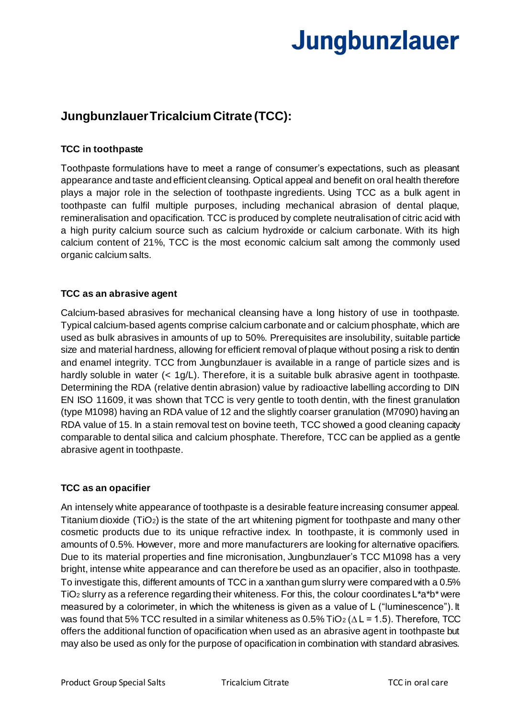## **Jungbunzlauer**

### **Jungbunzlauer Tricalcium Citrate (TCC):**

#### **TCC in toothpaste**

Toothpaste formulations have to meet a range of consumer's expectations, such as pleasant appearance and taste and efficient cleansing. Optical appeal and benefit on oral health therefore plays a major role in the selection of toothpaste ingredients. Using TCC as a bulk agent in toothpaste can fulfil multiple purposes, including mechanical abrasion of dental plaque, remineralisation and opacification. TCC is produced by complete neutralisation of citric acid with a high purity calcium source such as calcium hydroxide or calcium carbonate. With its high calcium content of 21%, TCC is the most economic calcium salt among the commonly used organic calcium salts.

#### **TCC as an abrasive agent**

Calcium-based abrasives for mechanical cleansing have a long history of use in toothpaste. Typical calcium-based agents comprise calcium carbonate and or calcium phosphate, which are used as bulk abrasives in amounts of up to 50%. Prerequisites are insolubility, suitable particle size and material hardness, allowing for efficient removal of plaque without posing a risk to dentin and enamel integrity. TCC from Jungbunzlauer is available in a range of particle sizes and is hardly soluble in water (< 1g/L). Therefore, it is a suitable bulk abrasive agent in toothpaste. Determining the RDA (relative dentin abrasion) value by radioactive labelling according to DIN EN ISO 11609, it was shown that TCC is very gentle to tooth dentin, with the finest granulation (type M1098) having an RDA value of 12 and the slightly coarser granulation (M7090) having an RDA value of 15. In a stain removal test on bovine teeth, TCC showed a good cleaning capacity comparable to dental silica and calcium phosphate. Therefore, TCC can be applied as a gentle abrasive agent in toothpaste.

#### **TCC as an opacifier**

An intensely white appearance of toothpaste is a desirable feature increasing consumer appeal. Titanium dioxide (TiO2) is the state of the art whitening pigment for toothpaste and many other cosmetic products due to its unique refractive index. In toothpaste, it is commonly used in amounts of 0.5%. However, more and more manufacturers are looking for alternative opacifiers. Due to its material properties and fine micronisation, Jungbunzlauer's TCC M1098 has a very bright, intense white appearance and can therefore be used as an opacifier, also in toothpaste. To investigate this, different amounts of TCC in a xanthan gum slurry were compared with a 0.5% TiO<sup>2</sup> slurry as a reference regarding their whiteness. For this, the colour coordinates L\*a\*b\* were measured by a colorimeter, in which the whiteness is given as a value of L ("luminescence"). It was found that 5% TCC resulted in a similar whiteness as 0.5% TiO<sub>2</sub> ( $\Delta$ L = 1.5). Therefore, TCC offers the additional function of opacification when used as an abrasive agent in toothpaste but may also be used as only for the purpose of opacification in combination with standard abrasives.